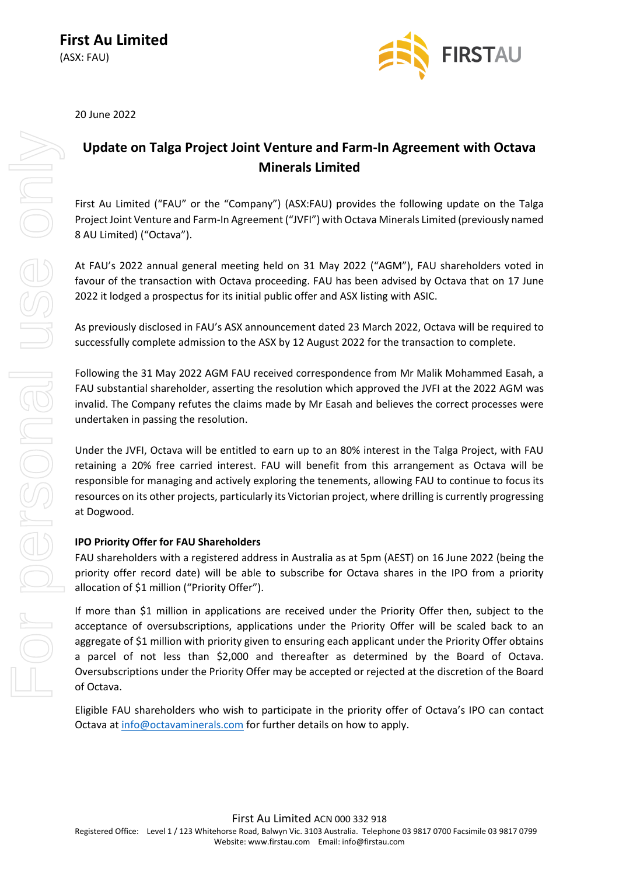

20 June 2022

## **Update on Talga Project Joint Venture and Farm-In Agreement with Octava Minerals Limited**

First Au Limited ("FAU" or the "Company") (ASX:FAU) provides the following update on the Talga Project Joint Venture and Farm-In Agreement ("JVFI") with Octava Minerals Limited (previously named 8 AU Limited) ("Octava").

At FAU's 2022 annual general meeting held on 31 May 2022 ("AGM"), FAU shareholders voted in favour of the transaction with Octava proceeding. FAU has been advised by Octava that on 17 June 2022 it lodged a prospectus for its initial public offer and ASX listing with ASIC.

As previously disclosed in FAU's ASX announcement dated 23 March 2022, Octava will be required to successfully complete admission to the ASX by 12 August 2022 for the transaction to complete.

Following the 31 May 2022 AGM FAU received correspondence from Mr Malik Mohammed Easah, a FAU substantial shareholder, asserting the resolution which approved the JVFI at the 2022 AGM was invalid. The Company refutes the claims made by Mr Easah and believes the correct processes were undertaken in passing the resolution.

Under the JVFI, Octava will be entitled to earn up to an 80% interest in the Talga Project, with FAU retaining a 20% free carried interest. FAU will benefit from this arrangement as Octava will be responsible for managing and actively exploring the tenements, allowing FAU to continue to focus its resources on its other projects, particularly its Victorian project, where drilling is currently progressing at Dogwood.

## **IPO Priority Offer for FAU Shareholders**

FAU shareholders with a registered address in Australia as at 5pm (AEST) on 16 June 2022 (being the priority offer record date) will be able to subscribe for Octava shares in the IPO from a priority allocation of \$1 million ("Priority Offer").

If more than \$1 million in applications are received under the Priority Offer then, subject to the acceptance of oversubscriptions, applications under the Priority Offer will be scaled back to an aggregate of \$1 million with priority given to ensuring each applicant under the Priority Offer obtains a parcel of not less than \$2,000 and thereafter as determined by the Board of Octava. Oversubscriptions under the Priority Offer may be accepted or rejected at the discretion of the Board of Octava.

Eligible FAU shareholders who wish to participate in the priority offer of Octava's IPO can contact Octava at [info@octavaminerals.com](mailto:info@octavaminerals.com) for further details on how to apply.